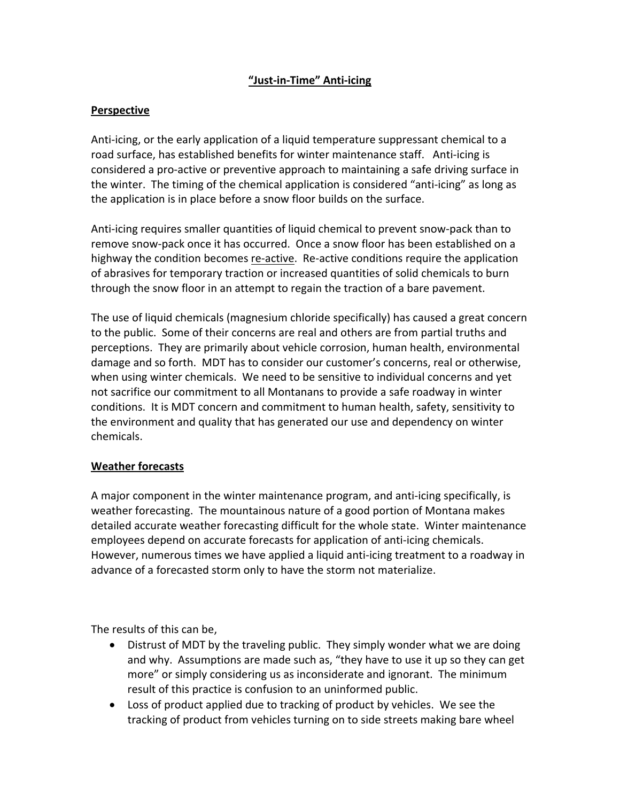## **"Just‐in‐Time" Anti‐icing**

## **Perspective**

Anti‐icing, or the early application of a liquid temperature suppressant chemical to a road surface, has established benefits for winter maintenance staff. Anti‐icing is considered a pro‐active or preventive approach to maintaining a safe driving surface in the winter. The timing of the chemical application is considered "anti‐icing" as long as the application is in place before a snow floor builds on the surface.

Anti‐icing requires smaller quantities of liquid chemical to prevent snow‐pack than to remove snow‐pack once it has occurred. Once a snow floor has been established on a highway the condition becomes re‐active. Re‐active conditions require the application of abrasives for temporary traction or increased quantities of solid chemicals to burn through the snow floor in an attempt to regain the traction of a bare pavement.

The use of liquid chemicals (magnesium chloride specifically) has caused a great concern to the public. Some of their concerns are real and others are from partial truths and perceptions. They are primarily about vehicle corrosion, human health, environmental damage and so forth. MDT has to consider our customer's concerns, real or otherwise, when using winter chemicals. We need to be sensitive to individual concerns and yet not sacrifice our commitment to all Montanans to provide a safe roadway in winter conditions. It is MDT concern and commitment to human health, safety, sensitivity to the environment and quality that has generated our use and dependency on winter chemicals.

## **Weather forecasts**

A major component in the winter maintenance program, and anti‐icing specifically, is weather forecasting. The mountainous nature of a good portion of Montana makes detailed accurate weather forecasting difficult for the whole state. Winter maintenance employees depend on accurate forecasts for application of anti-icing chemicals. However, numerous times we have applied a liquid anti‐icing treatment to a roadway in advance of a forecasted storm only to have the storm not materialize.

The results of this can be,

- Distrust of MDT by the traveling public. They simply wonder what we are doing and why. Assumptions are made such as, "they have to use it up so they can get more" or simply considering us as inconsiderate and ignorant. The minimum result of this practice is confusion to an uninformed public.
- Loss of product applied due to tracking of product by vehicles. We see the tracking of product from vehicles turning on to side streets making bare wheel